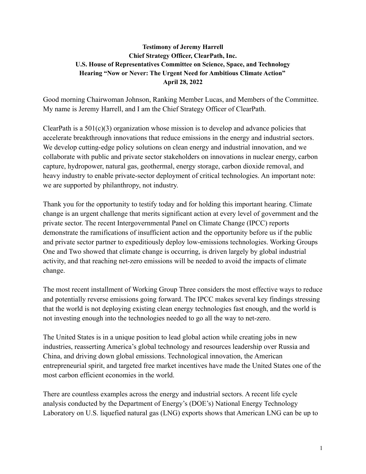#### **Testimony of Jeremy Harrell Chief Strategy Officer, ClearPath, Inc. U.S. House of Representatives Committee on Science, Space, and Technology Hearing "Now or Never: The Urgent Need for Ambitious Climate Action" April 28, 2022**

Good morning Chairwoman Johnson, Ranking Member Lucas, and Members of the Committee. My name is Jeremy Harrell, and I am the Chief Strategy Officer of ClearPath.

ClearPath is a  $501(c)(3)$  organization whose mission is to develop and advance policies that accelerate breakthrough innovations that reduce emissions in the energy and industrial sectors. We develop cutting-edge policy solutions on clean energy and industrial innovation, and we collaborate with public and private sector stakeholders on innovations in nuclear energy, carbon capture, hydropower, natural gas, geothermal, energy storage, carbon dioxide removal, and heavy industry to enable private-sector deployment of critical technologies. An important note: we are supported by philanthropy, not industry.

Thank you for the opportunity to testify today and for holding this important hearing. Climate change is an urgent challenge that merits significant action at every level of government and the private sector. The recent Intergovernmental Panel on Climate Change (IPCC) reports demonstrate the ramifications of insufficient action and the opportunity before us if the public and private sector partner to expeditiously deploy low-emissions technologies. Working Groups One and Two showed that climate change is occurring, is driven largely by global industrial activity, and that reaching net-zero emissions will be needed to avoid the impacts of climate change.

The most recent installment of Working Group Three considers the most effective ways to reduce and potentially reverse emissions going forward. The IPCC makes several key findings stressing that the world is not deploying existing clean energy technologies fast enough, and the world is not investing enough into the technologies needed to go all the way to net-zero.

The United States is in a unique position to lead global action while creating jobs in new industries, reasserting America's global technology and resources leadership over Russia and China, and driving down global emissions. Technological innovation, the American entrepreneurial spirit, and targeted free market incentives have made the United States one of the most carbon efficient economies in the world.

There are countless examples across the energy and industrial sectors. A recent life cycle analysis conducted by the Department of Energy's (DOE's) National Energy Technology Laboratory on U.S. liquefied natural gas (LNG) exports shows that American LNG can be up to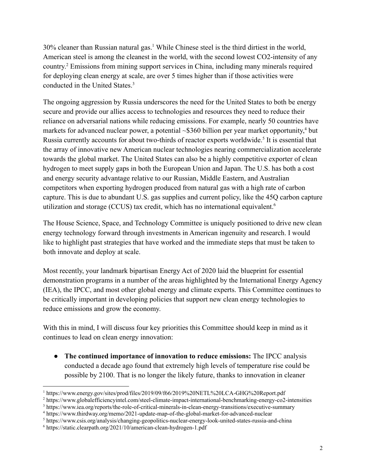30% cleaner than Russian natural gas.<sup>1</sup> While Chinese steel is the third dirtiest in the world, American steel is among the cleanest in the world, with the second lowest CO2-intensity of any country. <sup>2</sup> Emissions from mining support services in China, including many minerals required for deploying clean energy at scale, are over 5 times higher than if those activities were conducted in the United States.<sup>3</sup>

The ongoing aggression by Russia underscores the need for the United States to both be energy secure and provide our allies access to technologies and resources they need to reduce their reliance on adversarial nations while reducing emissions. For example, nearly 50 countries have markets for advanced nuclear power, a potential ~\$360 billion per year market opportunity,<sup>4</sup> but Russia currently accounts for about two-thirds of reactor exports worldwide.<sup>5</sup> It is essential that the array of innovative new American nuclear technologies nearing commercialization accelerate towards the global market. The United States can also be a highly competitive exporter of clean hydrogen to meet supply gaps in both the European Union and Japan. The U.S. has both a cost and energy security advantage relative to our Russian, Middle Eastern, and Australian competitors when exporting hydrogen produced from natural gas with a high rate of carbon capture. This is due to abundant U.S. gas supplies and current policy, like the 45Q carbon capture utilization and storage (CCUS) tax credit, which has no international equivalent.<sup>6</sup>

The House Science, Space, and Technology Committee is uniquely positioned to drive new clean energy technology forward through investments in American ingenuity and research. I would like to highlight past strategies that have worked and the immediate steps that must be taken to both innovate and deploy at scale.

Most recently, your landmark bipartisan Energy Act of 2020 laid the blueprint for essential demonstration programs in a number of the areas highlighted by the International Energy Agency (IEA), the IPCC, and most other global energy and climate experts. This Committee continues to be critically important in developing policies that support new clean energy technologies to reduce emissions and grow the economy.

With this in mind, I will discuss four key priorities this Committee should keep in mind as it continues to lead on clean energy innovation:

● **The continued importance of innovation to reduce emissions:** The IPCC analysis conducted a decade ago found that extremely high levels of temperature rise could be possible by 2100. That is no longer the likely future, thanks to innovation in cleaner

<sup>1</sup> https://www.energy.gov/sites/prod/files/2019/09/f66/2019%20NETL%20LCA-GHG%20Report.pdf

<sup>2</sup> https://www.globalefficiencyintel.com/steel-climate-impact-international-benchmarking-energy-co2-intensities

<sup>&</sup>lt;sup>3</sup> https://www.iea.org/reports/the-role-of-critical-minerals-in-clean-energy-transitions/executive-summary

<sup>4</sup> https://www.thirdway.org/memo/2021-update-map-of-the-global-market-for-advanced-nuclear

<sup>5</sup> https://www.csis.org/analysis/changing-geopolitics-nuclear-energy-look-united-states-russia-and-china

<sup>6</sup> https://static.clearpath.org/2021/10/american-clean-hydrogen-1.pdf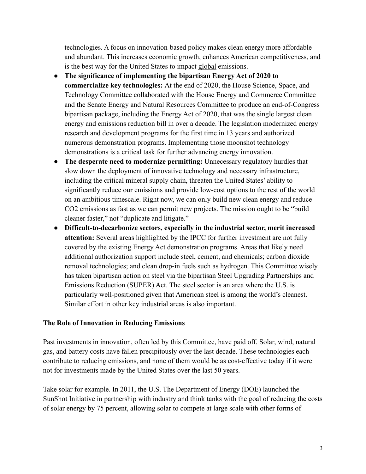technologies. A focus on innovation-based policy makes clean energy more affordable and abundant. This increases economic growth, enhances American competitiveness, and is the best way for the United States to impact global emissions.

- **The significance of implementing the bipartisan Energy Act of 2020 to commercialize key technologies:** At the end of 2020, the House Science, Space, and Technology Committee collaborated with the House Energy and Commerce Committee and the Senate Energy and Natural Resources Committee to produce an end-of-Congress bipartisan package, including the Energy Act of 2020, that was the single largest clean energy and emissions reduction bill in over a decade. The legislation modernized energy research and development programs for the first time in 13 years and authorized numerous demonstration programs. Implementing those moonshot technology demonstrations is a critical task for further advancing energy innovation.
- **● The desperate need to modernize permitting:** Unnecessary regulatory hurdles that slow down the deployment of innovative technology and necessary infrastructure, including the critical mineral supply chain, threaten the United States' ability to significantly reduce our emissions and provide low-cost options to the rest of the world on an ambitious timescale. Right now, we can only build new clean energy and reduce CO2 emissions as fast as we can permit new projects. The mission ought to be "build cleaner faster," not "duplicate and litigate."
- **● Difficult-to-decarbonize sectors, especially in the industrial sector, merit increased attention:** Several areas highlighted by the IPCC for further investment are not fully covered by the existing Energy Act demonstration programs. Areas that likely need additional authorization support include steel, cement, and chemicals; carbon dioxide removal technologies; and clean drop-in fuels such as hydrogen. This Committee wisely has taken bipartisan action on steel via the bipartisan Steel Upgrading Partnerships and Emissions Reduction (SUPER) Act. The steel sector is an area where the U.S. is particularly well-positioned given that American steel is among the world's cleanest. Similar effort in other key industrial areas is also important.

#### **The Role of Innovation in Reducing Emissions**

Past investments in innovation, often led by this Committee, have paid off. Solar, wind, natural gas, and battery costs have fallen precipitously over the last decade. These technologies each contribute to reducing emissions, and none of them would be as cost-effective today if it were not for investments made by the United States over the last 50 years.

Take solar for example. In 2011, the U.S. The Department of Energy (DOE) launched the SunShot Initiative in partnership with industry and think tanks with the goal of reducing the costs of solar energy by 75 percent, allowing solar to compete at large scale with other forms of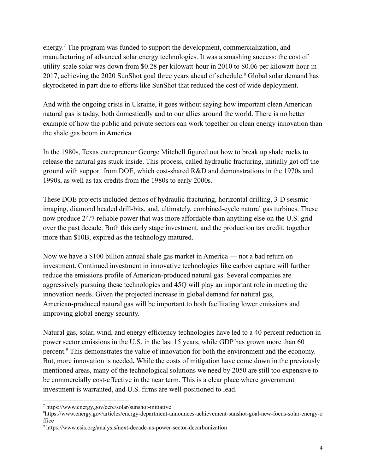energy.<sup>7</sup> The program was funded to support the development, commercialization, and manufacturing of advanced solar energy technologies. It was a smashing success: the cost of utility-scale solar was down from \$0.28 per kilowatt-hour in 2010 to \$0.06 per kilowatt-hour in 2017, achieving the 2020 SunShot goal three years ahead of schedule.<sup>8</sup> Global solar demand has skyrocketed in part due to efforts like SunShot that reduced the cost of wide deployment.

And with the ongoing crisis in Ukraine, it goes without saying how important clean American natural gas is today, both domestically and to our allies around the world. There is no better example of how the public and private sectors can work together on clean energy innovation than the shale gas boom in America.

In the 1980s, Texas entrepreneur George Mitchell figured out how to break up shale rocks to release the natural gas stuck inside. This process, called hydraulic fracturing, initially got off the ground with support from DOE, which cost-shared R&D and demonstrations in the 1970s and 1990s, as well as tax credits from the 1980s to early 2000s.

These DOE projects included demos of hydraulic fracturing, horizontal drilling, 3-D seismic imaging, diamond headed drill-bits, and, ultimately, combined-cycle natural gas turbines. These now produce 24/7 reliable power that was more affordable than anything else on the U.S. grid over the past decade. Both this early stage investment, and the production tax credit, together more than \$10B, expired as the technology matured.

Now we have a \$100 billion annual shale gas market in America — not a bad return on investment. Continued investment in innovative technologies like carbon capture will further reduce the emissions profile of American-produced natural gas. Several companies are aggressively pursuing these technologies and 45Q will play an important role in meeting the innovation needs. Given the projected increase in global demand for natural gas, American-produced natural gas will be important to both facilitating lower emissions and improving global energy security.

Natural gas, solar, wind, and energy efficiency technologies have led to a 40 percent reduction in power sector emissions in the U.S. in the last 15 years, while GDP has grown more than 60 percent.<sup>9</sup> This demonstrates the value of innovation for both the environment and the economy. But, more innovation is needed**.** While the costs of mitigation have come down in the previously mentioned areas, many of the technological solutions we need by 2050 are still too expensive to be commercially cost-effective in the near term. This is a clear place where government investment is warranted, and U.S. firms are well-positioned to lead.

<sup>7</sup> https://www.energy.gov/eere/solar/sunshot-initiative

<sup>8</sup>https://www.energy.gov/articles/energy-department-announces-achievement-sunshot-goal-new-focus-solar-energy-o ffice

<sup>9</sup> https://www.csis.org/analysis/next-decade-us-power-sector-decarbonization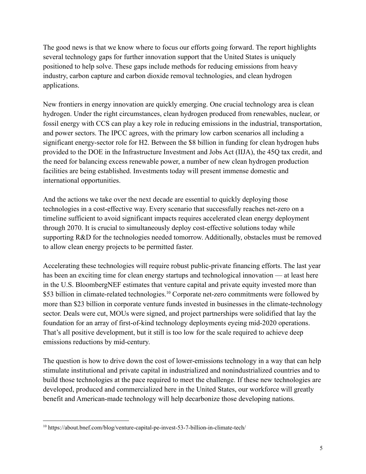The good news is that we know where to focus our efforts going forward. The report highlights several technology gaps for further innovation support that the United States is uniquely positioned to help solve. These gaps include methods for reducing emissions from heavy industry, carbon capture and carbon dioxide removal technologies, and clean hydrogen applications.

New frontiers in energy innovation are quickly emerging. One crucial technology area is clean hydrogen. Under the right circumstances, clean hydrogen produced from renewables, nuclear, or fossil energy with CCS can play a key role in reducing emissions in the industrial, transportation, and power sectors. The IPCC agrees, with the primary low carbon scenarios all including a significant energy-sector role for H2. Between the \$8 billion in funding for clean hydrogen hubs provided to the DOE in the Infrastructure Investment and Jobs Act (IIJA), the 45Q tax credit, and the need for balancing excess renewable power, a number of new clean hydrogen production facilities are being established. Investments today will present immense domestic and international opportunities.

And the actions we take over the next decade are essential to quickly deploying those technologies in a cost-effective way. Every scenario that successfully reaches net-zero on a timeline sufficient to avoid significant impacts requires accelerated clean energy deployment through 2070. It is crucial to simultaneously deploy cost-effective solutions today while supporting R&D for the technologies needed tomorrow. Additionally, obstacles must be removed to allow clean energy projects to be permitted faster.

Accelerating these technologies will require robust public-private financing efforts. The last year has been an exciting time for clean energy startups and technological innovation — at least here in the U.S. BloombergNEF estimates that venture capital and private equity invested more than \$53 billion in climate-related technologies.<sup>10</sup> Corporate net-zero commitments were followed by more than \$23 billion in corporate venture funds invested in businesses in the climate-technology sector. Deals were cut, MOUs were signed, and project partnerships were solidified that lay the foundation for an array of first-of-kind technology deployments eyeing mid-2020 operations. That's all positive development, but it still is too low for the scale required to achieve deep emissions reductions by mid-century.

The question is how to drive down the cost of lower-emissions technology in a way that can help stimulate institutional and private capital in industrialized and nonindustrialized countries and to build those technologies at the pace required to meet the challenge. If these new technologies are developed, produced and commercialized here in the United States, our workforce will greatly benefit and American-made technology will help decarbonize those developing nations.

<sup>10</sup> https://about.bnef.com/blog/venture-capital-pe-invest-53-7-billion-in-climate-tech/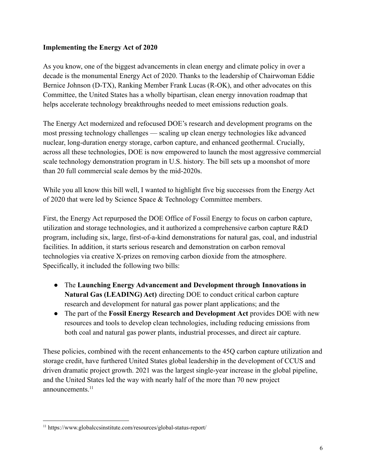## **Implementing the Energy Act of 2020**

As you know, one of the biggest advancements in clean energy and climate policy in over a decade is the monumental Energy Act of 2020. Thanks to the leadership of Chairwoman Eddie Bernice Johnson (D-TX), Ranking Member Frank Lucas (R-OK), and other advocates on this Committee, the United States has a wholly bipartisan, clean energy innovation roadmap that helps accelerate technology breakthroughs needed to meet emissions reduction goals.

The Energy Act modernized and refocused DOE's research and development programs on the most pressing technology challenges — scaling up clean energy technologies like advanced nuclear, long-duration energy storage, carbon capture, and enhanced geothermal. Crucially, across all these technologies, DOE is now empowered to launch the most aggressive commercial scale technology demonstration program in U.S. history. The bill sets up a moonshot of more than 20 full commercial scale demos by the mid-2020s.

While you all know this bill well, I wanted to highlight five big successes from the Energy Act of 2020 that were led by Science Space & Technology Committee members.

First, the Energy Act repurposed the DOE Office of Fossil Energy to focus on carbon capture, utilization and storage technologies, and it authorized a comprehensive carbon capture R&D program, including six, large, first-of-a-kind demonstrations for natural gas, coal, and industrial facilities. In addition, it starts serious research and demonstration on carbon removal technologies via creative X-prizes on removing carbon dioxide from the atmosphere. Specifically, it included the following two bills:

- The **Launching Energy Advancement and Development through Innovations in Natural Gas (LEADING) Act)** directing DOE to conduct critical carbon capture research and development for natural gas power plant applications; and the
- The part of the **Fossil Energy Research and Development Act** provides DOE with new resources and tools to develop clean technologies, including reducing emissions from both coal and natural gas power plants, industrial processes, and direct air capture.

These policies, combined with the recent enhancements to the 45Q carbon capture utilization and storage credit, have furthered United States global leadership in the development of CCUS and driven dramatic project growth. 2021 was the largest single-year increase in the global pipeline, and the United States led the way with nearly half of the more than 70 new project announcements.<sup>11</sup>

<sup>11</sup> https://www.globalccsinstitute.com/resources/global-status-report/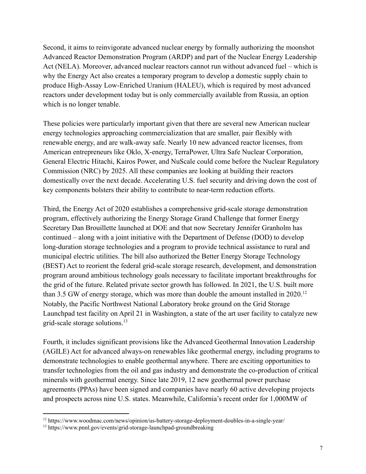Second, it aims to reinvigorate advanced nuclear energy by formally authorizing the moonshot Advanced Reactor Demonstration Program (ARDP) and part of the Nuclear Energy Leadership Act (NELA). Moreover, advanced nuclear reactors cannot run without advanced fuel – which is why the Energy Act also creates a temporary program to develop a domestic supply chain to produce High-Assay Low-Enriched Uranium (HALEU), which is required by most advanced reactors under development today but is only commercially available from Russia, an option which is no longer tenable.

These policies were particularly important given that there are several new American nuclear energy technologies approaching commercialization that are smaller, pair flexibly with renewable energy, and are walk-away safe. Nearly 10 new advanced reactor licenses, from American entrepreneurs like Oklo, X-energy, TerraPower, Ultra Safe Nuclear Corporation, General Electric Hitachi, Kairos Power, and NuScale could come before the Nuclear Regulatory Commission (NRC) by 2025. All these companies are looking at building their reactors domestically over the next decade. Accelerating U.S. fuel security and driving down the cost of key components bolsters their ability to contribute to near-term reduction efforts.

Third, the Energy Act of 2020 establishes a comprehensive grid-scale storage demonstration program, effectively authorizing the Energy Storage Grand Challenge that former Energy Secretary Dan Brouillette launched at DOE and that now Secretary Jennifer Granholm has continued – along with a joint initiative with the Department of Defense (DOD) to develop long-duration storage technologies and a program to provide technical assistance to rural and municipal electric utilities. The bill also authorized the Better Energy Storage Technology (BEST) Act to reorient the federal grid-scale storage research, development, and demonstration program around ambitious technology goals necessary to facilitate important breakthroughs for the grid of the future. Related private sector growth has followed. In 2021, the U.S. built more than 3.5 GW of energy storage, which was more than double the amount installed in 2020.<sup>12</sup> Notably, the Pacific Northwest National Laboratory broke ground on the Grid Storage Launchpad test facility on April 21 in Washington, a state of the art user facility to catalyze new grid-scale storage solutions.<sup>13</sup>

Fourth, it includes significant provisions like the Advanced Geothermal Innovation Leadership (AGILE) Act for advanced always-on renewables like geothermal energy, including programs to demonstrate technologies to enable geothermal anywhere. There are exciting opportunities to transfer technologies from the oil and gas industry and demonstrate the co-production of critical minerals with geothermal energy. Since late 2019, 12 new geothermal power purchase agreements (PPAs) have been signed and companies have nearly 60 active developing projects and prospects across nine U.S. states. Meanwhile, California's recent order for 1,000MW of

<sup>12</sup> https://www.woodmac.com/news/opinion/us-battery-storage-deployment-doubles-in-a-single-year/

<sup>13</sup> https://www.pnnl.gov/events/grid-storage-launchpad-groundbreaking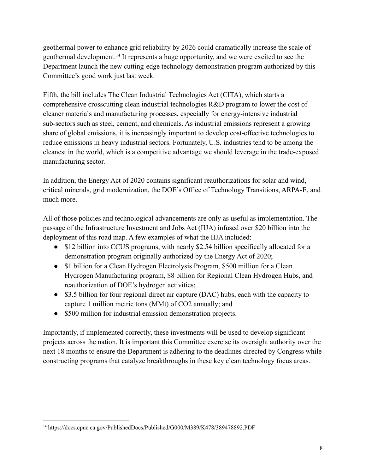geothermal power to enhance grid reliability by 2026 could dramatically increase the scale of geothermal development.<sup>14</sup> It represents a huge opportunity, and we were excited to see the Department launch the new cutting-edge technology demonstration program authorized by this Committee's good work just last week.

Fifth, the bill includes The Clean Industrial Technologies Act (CITA), which starts a comprehensive crosscutting clean industrial technologies R&D program to lower the cost of cleaner materials and manufacturing processes, especially for energy-intensive industrial sub-sectors such as steel, cement, and chemicals. As industrial emissions represent a growing share of global emissions, it is increasingly important to develop cost-effective technologies to reduce emissions in heavy industrial sectors. Fortunately, U.S. industries tend to be among the cleanest in the world, which is a competitive advantage we should leverage in the trade-exposed manufacturing sector.

In addition, the Energy Act of 2020 contains significant reauthorizations for solar and wind, critical minerals, grid modernization, the DOE's Office of Technology Transitions, ARPA-E, and much more.

All of those policies and technological advancements are only as useful as implementation. The passage of the Infrastructure Investment and Jobs Act (IIJA) infused over \$20 billion into the deployment of this road map. A few examples of what the IIJA included:

- \$12 billion into CCUS programs, with nearly \$2.54 billion specifically allocated for a demonstration program originally authorized by the Energy Act of 2020;
- \$1 billion for a Clean Hydrogen Electrolysis Program, \$500 million for a Clean Hydrogen Manufacturing program, \$8 billion for Regional Clean Hydrogen Hubs, and reauthorization of DOE's hydrogen activities;
- \$3.5 billion for four regional direct air capture (DAC) hubs, each with the capacity to capture 1 million metric tons (MMt) of CO2 annually; and
- \$500 million for industrial emission demonstration projects.

Importantly, if implemented correctly, these investments will be used to develop significant projects across the nation. It is important this Committee exercise its oversight authority over the next 18 months to ensure the Department is adhering to the deadlines directed by Congress while constructing programs that catalyze breakthroughs in these key clean technology focus areas.

<sup>&</sup>lt;sup>14</sup> https://docs.cpuc.ca.gov/PublishedDocs/Published/G000/M389/K478/389478892.PDF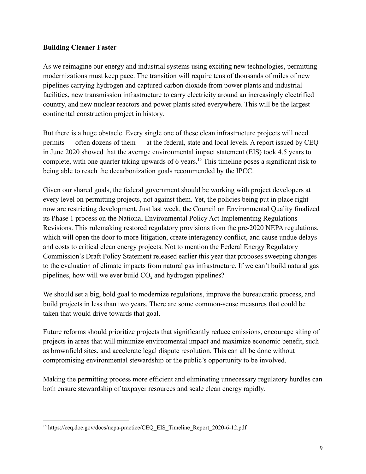#### **Building Cleaner Faster**

As we reimagine our energy and industrial systems using exciting new technologies, permitting modernizations must keep pace. The transition will require tens of thousands of miles of new pipelines carrying hydrogen and captured carbon dioxide from power plants and industrial facilities, new transmission infrastructure to carry electricity around an increasingly electrified country, and new nuclear reactors and power plants sited everywhere. This will be the largest continental construction project in history.

But there is a huge obstacle. Every single one of these clean infrastructure projects will need permits — often dozens of them — at the federal, state and local levels. A report issued by CEQ in June 2020 showed that the average environmental impact statement (EIS) took 4.5 years to complete, with one quarter taking upwards of 6 years.<sup>15</sup> This timeline poses a significant risk to being able to reach the decarbonization goals recommended by the IPCC.

Given our shared goals, the federal government should be working with project developers at every level on permitting projects, not against them. Yet, the policies being put in place right now are restricting development. Just last week, the Council on Environmental Quality finalized its Phase 1 process on the National Environmental Policy Act Implementing Regulations Revisions. This rulemaking restored regulatory provisions from the pre-2020 NEPA regulations, which will open the door to more litigation, create interagency conflict, and cause undue delays and costs to critical clean energy projects. Not to mention the Federal Energy Regulatory Commission's Draft Policy Statement released earlier this year that proposes sweeping changes to the evaluation of climate impacts from natural gas infrastructure. If we can't build natural gas pipelines, how will we ever build  $CO<sub>2</sub>$  and hydrogen pipelines?

We should set a big, bold goal to modernize regulations, improve the bureaucratic process, and build projects in less than two years. There are some common-sense measures that could be taken that would drive towards that goal.

Future reforms should prioritize projects that significantly reduce emissions, encourage siting of projects in areas that will minimize environmental impact and maximize economic benefit, such as brownfield sites, and accelerate legal dispute resolution. This can all be done without compromising environmental stewardship or the public's opportunity to be involved.

Making the permitting process more efficient and eliminating unnecessary regulatory hurdles can both ensure stewardship of taxpayer resources and scale clean energy rapidly.

<sup>&</sup>lt;sup>15</sup> https://ceq.doe.gov/docs/nepa-practice/CEQ\_EIS\_Timeline\_Report\_2020-6-12.pdf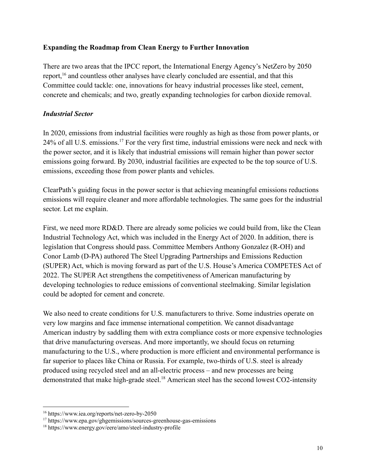#### **Expanding the Roadmap from Clean Energy to Further Innovation**

There are two areas that the IPCC report, the International Energy Agency's NetZero by 2050 report,<sup>16</sup> and countless other analyses have clearly concluded are essential, and that this Committee could tackle: one, innovations for heavy industrial processes like steel, cement, concrete and chemicals; and two, greatly expanding technologies for carbon dioxide removal.

## *Industrial Sector*

In 2020, emissions from industrial facilities were roughly as high as those from power plants, or 24% of all U.S. emissions.<sup>17</sup> For the very first time, industrial emissions were neck and neck with the power sector, and it is likely that industrial emissions will remain higher than power sector emissions going forward. By 2030, industrial facilities are expected to be the top source of U.S. emissions, exceeding those from power plants and vehicles.

ClearPath's guiding focus in the power sector is that achieving meaningful emissions reductions emissions will require cleaner and more affordable technologies. The same goes for the industrial sector. Let me explain.

First, we need more RD&D. There are already some policies we could build from, like the Clean Industrial Technology Act, which was included in the Energy Act of 2020. In addition, there is legislation that Congress should pass. Committee Members Anthony Gonzalez (R-OH) and Conor Lamb (D-PA) authored The Steel Upgrading Partnerships and Emissions Reduction (SUPER) Act, which is moving forward as part of the U.S. House's America COMPETES Act of 2022. The SUPER Act strengthens the competitiveness of American manufacturing by developing technologies to reduce emissions of conventional steelmaking. Similar legislation could be adopted for cement and concrete.

We also need to create conditions for U.S. manufacturers to thrive. Some industries operate on very low margins and face immense international competition. We cannot disadvantage American industry by saddling them with extra compliance costs or more expensive technologies that drive manufacturing overseas. And more importantly, we should focus on returning manufacturing to the U.S., where production is more efficient and environmental performance is far superior to places like China or Russia. For example, two-thirds of U.S. steel is already produced using recycled steel and an all-electric process – and new processes are being demonstrated that make high-grade steel.<sup>18</sup> American steel has the second lowest CO2-intensity

<sup>16</sup> https://www.iea.org/reports/net-zero-by-2050

<sup>&</sup>lt;sup>17</sup> https://www.epa.gov/ghgemissions/sources-greenhouse-gas-emissions

<sup>18</sup> https://www.energy.gov/eere/amo/steel-industry-profile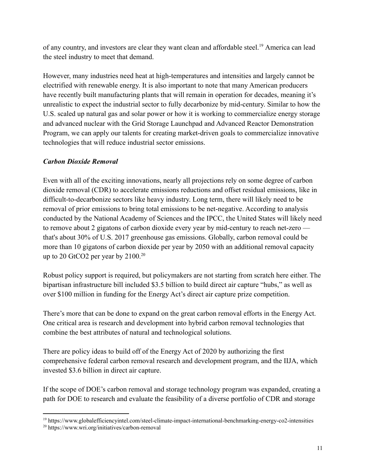of any country, and investors are clear they want clean and affordable steel.<sup>19</sup> America can lead the steel industry to meet that demand.

However, many industries need heat at high-temperatures and intensities and largely cannot be electrified with renewable energy. It is also important to note that many American producers have recently built manufacturing plants that will remain in operation for decades, meaning it's unrealistic to expect the industrial sector to fully decarbonize by mid-century. Similar to how the U.S. scaled up natural gas and solar power or how it is working to commercialize energy storage and advanced nuclear with the Grid Storage Launchpad and Advanced Reactor Demonstration Program, we can apply our talents for creating market-driven goals to commercialize innovative technologies that will reduce industrial sector emissions.

# *Carbon Dioxide Removal*

Even with all of the exciting innovations, nearly all projections rely on some degree of carbon dioxide removal (CDR) to accelerate emissions reductions and offset residual emissions, like in difficult-to-decarbonize sectors like heavy industry. Long term, there will likely need to be removal of prior emissions to bring total emissions to be net-negative. According to analysis conducted by the National Academy of Sciences and the IPCC, the United States will likely need to remove about 2 gigatons of carbon dioxide every year by mid-century to reach net-zero that's about 30% of U.S. 2017 greenhouse gas emissions. Globally, carbon removal could be more than 10 gigatons of carbon dioxide per year by 2050 with an additional removal capacity up to 20 GtCO2 per year by 2100.<sup>20</sup>

Robust policy support is required, but policymakers are not starting from scratch here either. The bipartisan infrastructure bill included \$3.5 billion to build direct air capture "hubs," as well as over \$100 million in funding for the Energy Act's direct air capture prize competition.

There's more that can be done to expand on the great carbon removal efforts in the Energy Act. One critical area is research and development into hybrid carbon removal technologies that combine the best attributes of natural and technological solutions.

There are policy ideas to build off of the Energy Act of 2020 by authorizing the first comprehensive federal carbon removal research and development program, and the IIJA, which invested \$3.6 billion in direct air capture.

If the scope of DOE's carbon removal and storage technology program was expanded, creating a path for DOE to research and evaluate the feasibility of a diverse portfolio of CDR and storage

<sup>19</sup> https://www.globalefficiencyintel.com/steel-climate-impact-international-benchmarking-energy-co2-intensities

<sup>20</sup> https://www.wri.org/initiatives/carbon-removal